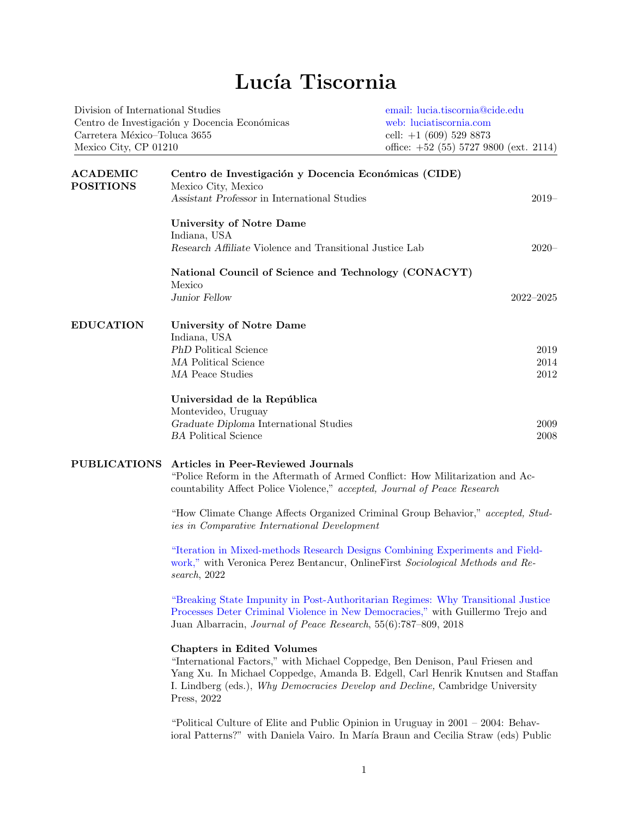## Lucía Tiscornia

| Division of International Studies             | email: lucia.tiscornia@cide.edu          |
|-----------------------------------------------|------------------------------------------|
| Centro de Investigación y Docencia Económicas | web: luciatiscornia.com                  |
| Carretera México-Toluca 3655                  | cell: $+1$ (609) 529 8873                |
| Mexico City, CP 01210                         | office: $+52$ (55) 5727 9800 (ext. 2114) |
|                                               |                                          |

| <b>ACADEMIC</b><br><b>POSITIONS</b> | Centro de Investigación y Docencia Económicas (CIDE)<br>Mexico City, Mexico                                                                                                                                                                                                                           |               |  |
|-------------------------------------|-------------------------------------------------------------------------------------------------------------------------------------------------------------------------------------------------------------------------------------------------------------------------------------------------------|---------------|--|
|                                     | Assistant Professor in International Studies                                                                                                                                                                                                                                                          | $2019-$       |  |
|                                     | <b>University of Notre Dame</b>                                                                                                                                                                                                                                                                       |               |  |
|                                     | Indiana, USA                                                                                                                                                                                                                                                                                          |               |  |
|                                     | Research Affiliate Violence and Transitional Justice Lab                                                                                                                                                                                                                                              | $2020 -$      |  |
|                                     | National Council of Science and Technology (CONACYT)<br>Mexico                                                                                                                                                                                                                                        |               |  |
|                                     | Junior Fellow                                                                                                                                                                                                                                                                                         | $2022 - 2025$ |  |
| <b>EDUCATION</b>                    | <b>University of Notre Dame</b>                                                                                                                                                                                                                                                                       |               |  |
|                                     | Indiana, USA<br>PhD Political Science                                                                                                                                                                                                                                                                 |               |  |
|                                     | MA Political Science                                                                                                                                                                                                                                                                                  | 2019          |  |
|                                     | MA Peace Studies                                                                                                                                                                                                                                                                                      | 2014<br>2012  |  |
|                                     |                                                                                                                                                                                                                                                                                                       |               |  |
|                                     | Universidad de la República                                                                                                                                                                                                                                                                           |               |  |
|                                     | Montevideo, Uruguay                                                                                                                                                                                                                                                                                   |               |  |
|                                     | Graduate Diploma International Studies                                                                                                                                                                                                                                                                | 2009          |  |
|                                     | <b>BA</b> Political Science                                                                                                                                                                                                                                                                           | 2008          |  |
| <b>PUBLICATIONS</b>                 | <b>Articles in Peer-Reviewed Journals</b><br>"Police Reform in the Aftermath of Armed Conflict: How Militarization and Ac-<br>countability Affect Police Violence," accepted, Journal of Peace Research                                                                                               |               |  |
|                                     | "How Climate Change Affects Organized Criminal Group Behavior," accepted, Stud-<br>ies in Comparative International Development                                                                                                                                                                       |               |  |
|                                     | "Iteration in Mixed-methods Research Designs Combining Experiments and Field-<br>work," with Veronica Perez Bentancur, OnlineFirst Sociological Methods and Re-<br>search, 2022                                                                                                                       |               |  |
|                                     | "Breaking State Impunity in Post-Authoritarian Regimes: Why Transitional Justice<br>Processes Deter Criminal Violence in New Democracies," with Guillermo Trejo and<br>Juan Albarracin, Journal of Peace Research, 55(6):787-809, 2018                                                                |               |  |
|                                     | <b>Chapters in Edited Volumes</b><br>"International Factors," with Michael Coppedge, Ben Denison, Paul Friesen and<br>Yang Xu. In Michael Coppedge, Amanda B. Edgell, Carl Henrik Knutsen and Staffan<br>I. Lindberg (eds.), Why Democracies Develop and Decline, Cambridge University<br>Press, 2022 |               |  |
|                                     | "Political Culture of Elite and Public Opinion in Uruguay in $2001 - 2004$ : Behav-<br>ioral Patterns?" with Daniela Vairo. In María Braun and Cecilia Straw (eds) Public                                                                                                                             |               |  |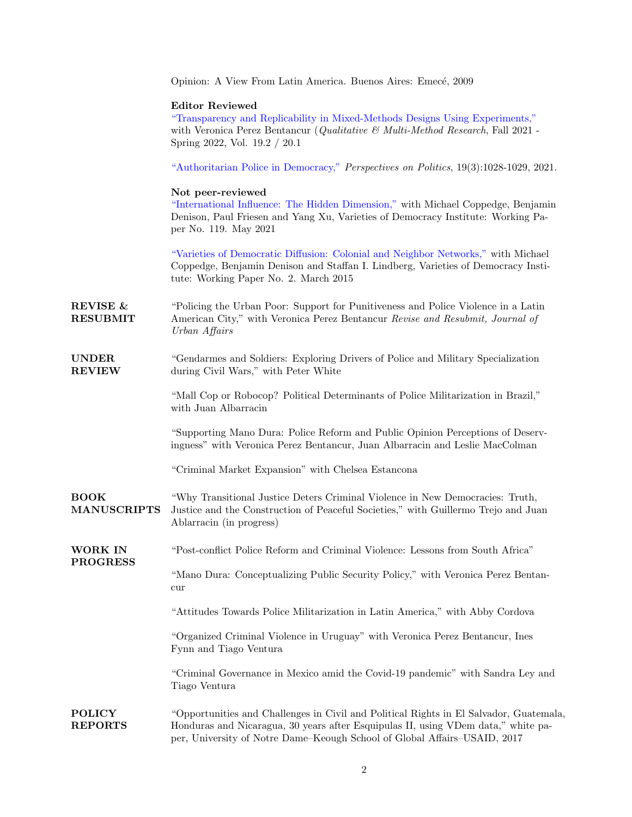|                                        | Opinion: A View From Latin America. Buenos Aires: Emecé, 2009                                                                                                                                                                                            |
|----------------------------------------|----------------------------------------------------------------------------------------------------------------------------------------------------------------------------------------------------------------------------------------------------------|
|                                        | <b>Editor Reviewed</b><br>"Transparency and Replicability in Mixed-Methods Designs Using Experiments,"<br>with Veronica Perez Bentancur (Qualitative & Multi-Method Research, Fall 2021 -<br>Spring 2022, Vol. 19.2 / 20.1                               |
|                                        | "Authoritarian Police in Democracy," Perspectives on Politics, 19(3):1028-1029, 2021.                                                                                                                                                                    |
|                                        | Not peer-reviewed<br>"International Influence: The Hidden Dimension," with Michael Coppedge, Benjamin<br>Denison, Paul Friesen and Yang Xu, Varieties of Democracy Institute: Working Pa-<br>per No. 119. May 2021                                       |
|                                        | "Varieties of Democratic Diffusion: Colonial and Neighbor Networks," with Michael<br>Coppedge, Benjamin Denison and Staffan I. Lindberg, Varieties of Democracy Insti-<br>tute: Working Paper No. 2. March 2015                                          |
| <b>REVISE &amp;</b><br><b>RESUBMIT</b> | "Policing the Urban Poor: Support for Punitiveness and Police Violence in a Latin<br>American City," with Veronica Perez Bentancur Revise and Resubmit, Journal of<br>Urban Affairs                                                                      |
| <b>UNDER</b><br><b>REVIEW</b>          | "Gendarmes and Soldiers: Exploring Drivers of Police and Military Specialization<br>during Civil Wars," with Peter White                                                                                                                                 |
|                                        | "Mall Cop or Robocop? Political Determinants of Police Militarization in Brazil,"<br>with Juan Albarracin                                                                                                                                                |
|                                        | "Supporting Mano Dura: Police Reform and Public Opinion Perceptions of Deserv-<br>ingness" with Veronica Perez Bentancur, Juan Albarracin and Leslie MacColman                                                                                           |
|                                        | "Criminal Market Expansion" with Chelsea Estancona                                                                                                                                                                                                       |
| <b>BOOK</b><br><b>MANUSCRIPTS</b>      | "Why Transitional Justice Deters Criminal Violence in New Democracies: Truth,<br>Justice and the Construction of Peaceful Societies," with Guillermo Trejo and Juan<br>Ablarracin (in progress)                                                          |
| WORK IN                                | "Post-conflict Police Reform and Criminal Violence: Lessons from South Africa"                                                                                                                                                                           |
| <b>PROGRESS</b>                        | "Mano Dura: Conceptualizing Public Security Policy," with Veronica Perez Bentan-<br>cur                                                                                                                                                                  |
|                                        | "Attitudes Towards Police Militarization in Latin America," with Abby Cordova                                                                                                                                                                            |
|                                        | "Organized Criminal Violence in Uruguay" with Veronica Perez Bentancur, Ines<br>Fynn and Tiago Ventura                                                                                                                                                   |
|                                        | "Criminal Governance in Mexico amid the Covid-19 pandemic" with Sandra Ley and<br>Tiago Ventura                                                                                                                                                          |
| <b>POLICY</b><br><b>REPORTS</b>        | "Opportunities and Challenges in Civil and Political Rights in El Salvador, Guatemala,<br>Honduras and Nicaragua, 30 years after Esquipulas II, using VDem data," white pa-<br>per, University of Notre Dame-Keough School of Global Affairs-USAID, 2017 |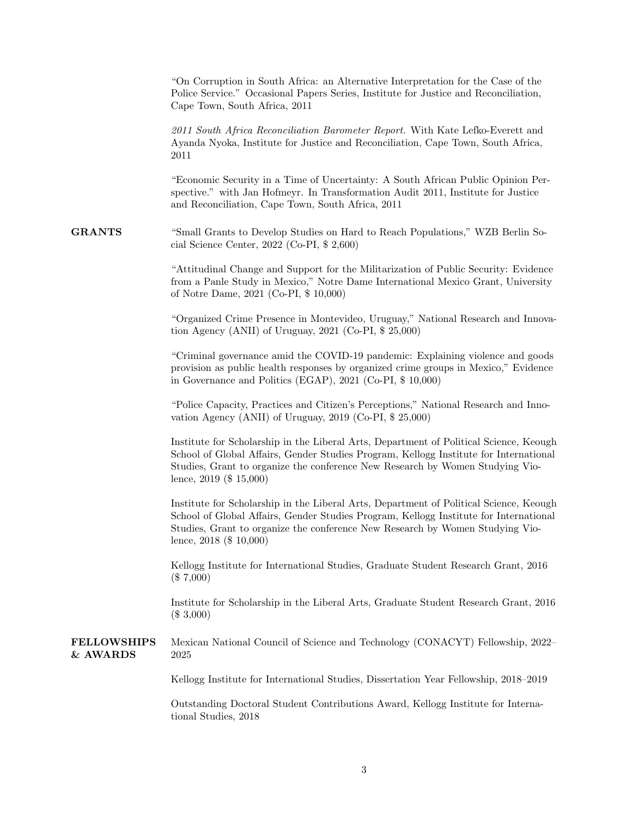|                                | "On Corruption in South Africa: an Alternative Interpretation for the Case of the<br>Police Service." Occasional Papers Series, Institute for Justice and Reconciliation,<br>Cape Town, South Africa, 2011                                                                                    |
|--------------------------------|-----------------------------------------------------------------------------------------------------------------------------------------------------------------------------------------------------------------------------------------------------------------------------------------------|
|                                | 2011 South Africa Reconciliation Barometer Report. With Kate Lefko-Everett and<br>Ayanda Nyoka, Institute for Justice and Reconciliation, Cape Town, South Africa,<br>2011                                                                                                                    |
|                                | "Economic Security in a Time of Uncertainty: A South African Public Opinion Per-<br>spective." with Jan Hofmeyr. In Transformation Audit 2011, Institute for Justice<br>and Reconciliation, Cape Town, South Africa, 2011                                                                     |
| <b>GRANTS</b>                  | "Small Grants to Develop Studies on Hard to Reach Populations," WZB Berlin So-<br>cial Science Center, $2022$ (Co-PI, \$ 2,600)                                                                                                                                                               |
|                                | "Attitudinal Change and Support for the Militarization of Public Security: Evidence<br>from a Panle Study in Mexico," Notre Dame International Mexico Grant, University<br>of Notre Dame, 2021 (Co-PI, \$ 10,000)                                                                             |
|                                | "Organized Crime Presence in Montevideo, Uruguay," National Research and Innova-<br>tion Agency (ANII) of Uruguay, $2021$ (Co-PI, $$25,000$ )                                                                                                                                                 |
|                                | "Criminal governance amid the COVID-19 pandemic: Explaining violence and goods<br>provision as public health responses by organized crime groups in Mexico," Evidence<br>in Governance and Politics (EGAP), 2021 (Co-PI, \$10,000)                                                            |
|                                | "Police Capacity, Practices and Citizen's Perceptions," National Research and Inno-<br>vation Agency (ANII) of Uruguay, $2019$ (Co-PI, $$25,000$ )                                                                                                                                            |
|                                | Institute for Scholarship in the Liberal Arts, Department of Political Science, Keough<br>School of Global Affairs, Gender Studies Program, Kellogg Institute for International<br>Studies, Grant to organize the conference New Research by Women Studying Vio-<br>lence, $2019$ (\$ 15,000) |
|                                | Institute for Scholarship in the Liberal Arts, Department of Political Science, Keough<br>School of Global Affairs, Gender Studies Program, Kellogg Institute for International<br>Studies, Grant to organize the conference New Research by Women Studying Vio-<br>lence, $2018$ (\$ 10,000) |
|                                | Kellogg Institute for International Studies, Graduate Student Research Grant, 2016<br>$(\$7,000)$                                                                                                                                                                                             |
|                                | Institute for Scholarship in the Liberal Arts, Graduate Student Research Grant, 2016<br>$(\$3,000)$                                                                                                                                                                                           |
| <b>FELLOWSHIPS</b><br>& AWARDS | Mexican National Council of Science and Technology (CONACYT) Fellowship, 2022-<br>2025                                                                                                                                                                                                        |
|                                | Kellogg Institute for International Studies, Dissertation Year Fellowship, 2018–2019                                                                                                                                                                                                          |
|                                | Outstanding Doctoral Student Contributions Award, Kellogg Institute for Interna-<br>tional Studies, 2018                                                                                                                                                                                      |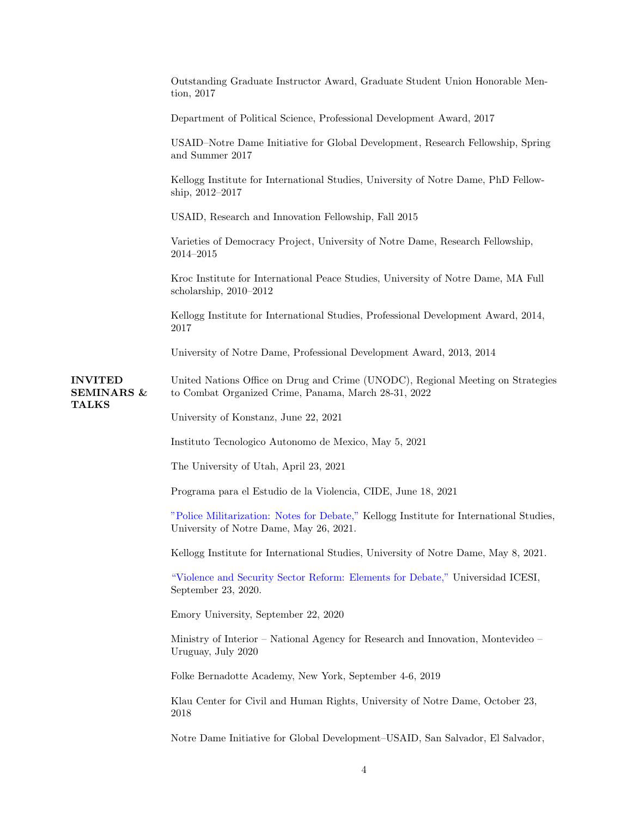|                                                         | Outstanding Graduate Instructor Award, Graduate Student Union Honorable Men-<br>$\{tion, 2017}$                                         |
|---------------------------------------------------------|-----------------------------------------------------------------------------------------------------------------------------------------|
|                                                         | Department of Political Science, Professional Development Award, 2017                                                                   |
|                                                         | USAID-Notre Dame Initiative for Global Development, Research Fellowship, Spring<br>and Summer 2017                                      |
|                                                         | Kellogg Institute for International Studies, University of Notre Dame, PhD Fellow-<br>ship, $2012 - 2017$                               |
|                                                         | USAID, Research and Innovation Fellowship, Fall 2015                                                                                    |
|                                                         | Varieties of Democracy Project, University of Notre Dame, Research Fellowship,<br>2014–2015                                             |
|                                                         | Kroc Institute for International Peace Studies, University of Notre Dame, MA Full<br>scholarship, $2010-2012$                           |
|                                                         | Kellogg Institute for International Studies, Professional Development Award, 2014,<br>2017                                              |
|                                                         | University of Notre Dame, Professional Development Award, 2013, 2014                                                                    |
| <b>INVITED</b><br><b>SEMINARS &amp;</b><br><b>TALKS</b> | United Nations Office on Drug and Crime (UNODC), Regional Meeting on Strategies<br>to Combat Organized Crime, Panama, March 28-31, 2022 |
|                                                         | University of Konstanz, June 22, 2021                                                                                                   |
|                                                         | Instituto Tecnologico Autonomo de Mexico, May 5, 2021                                                                                   |
|                                                         | The University of Utah, April 23, 2021                                                                                                  |
|                                                         | Programa para el Estudio de la Violencia, CIDE, June 18, 2021                                                                           |
|                                                         | "Police Militarization: Notes for Debate," Kellogg Institute for International Studies,<br>University of Notre Dame, May 26, 2021.      |
|                                                         | Kellogg Institute for International Studies, University of Notre Dame, May 8, 2021.                                                     |
|                                                         | "Violence and Security Sector Reform: Elements for Debate," Universidad ICESI,<br>September 23, 2020.                                   |
|                                                         | Emory University, September 22, 2020                                                                                                    |
|                                                         | Ministry of Interior – National Agency for Research and Innovation, Montevideo –<br>Uruguay, July 2020                                  |
|                                                         | Folke Bernadotte Academy, New York, September 4-6, 2019                                                                                 |
|                                                         | Klau Center for Civil and Human Rights, University of Notre Dame, October 23,<br>2018                                                   |
|                                                         | Notre Dame Initiative for Global Development–USAID, San Salvador, El Salvador,                                                          |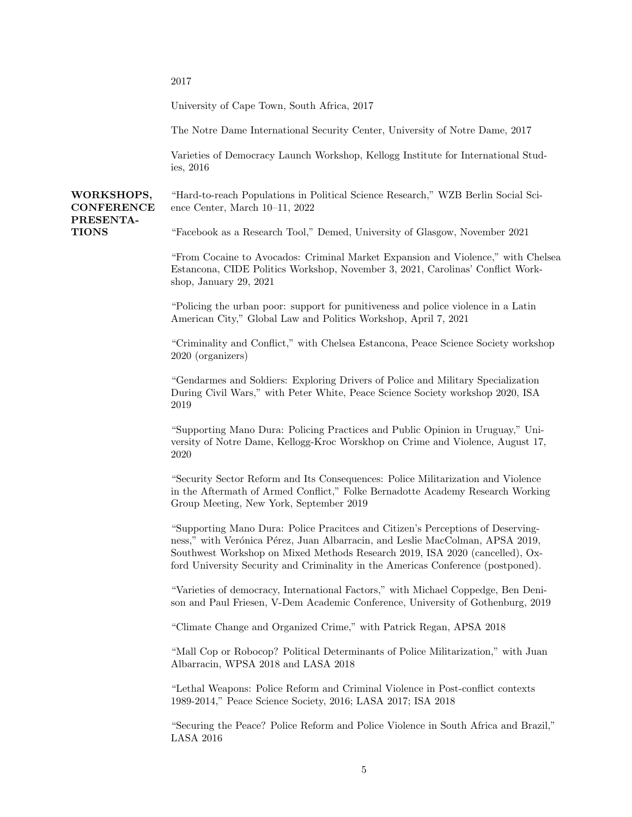2017

WORKSHOPS,

PRESENTA-**TIONS** 

University of Cape Town, South Africa, 2017

The Notre Dame International Security Center, University of Notre Dame, 2017

Varieties of Democracy Launch Workshop, Kellogg Institute for International Studies, 2016

**CONFERENCE** "Hard-to-reach Populations in Political Science Research," WZB Berlin Social Science Center, March 10–11, 2022

"Facebook as a Research Tool," Demed, University of Glasgow, November 2021

"From Cocaine to Avocados: Criminal Market Expansion and Violence," with Chelsea Estancona, CIDE Politics Workshop, November 3, 2021, Carolinas' Conflict Workshop, January 29, 2021

"Policing the urban poor: support for punitiveness and police violence in a Latin American City," Global Law and Politics Workshop, April 7, 2021

"Criminality and Conflict," with Chelsea Estancona, Peace Science Society workshop 2020 (organizers)

"Gendarmes and Soldiers: Exploring Drivers of Police and Military Specialization During Civil Wars," with Peter White, Peace Science Society workshop 2020, ISA 2019

"Supporting Mano Dura: Policing Practices and Public Opinion in Uruguay," University of Notre Dame, Kellogg-Kroc Worskhop on Crime and Violence, August 17, 2020

"Security Sector Reform and Its Consequences: Police Militarization and Violence in the Aftermath of Armed Conflict," Folke Bernadotte Academy Research Working Group Meeting, New York, September 2019

"Supporting Mano Dura: Police Pracitces and Citizen's Perceptions of Deservingness," with Verónica Pérez, Juan Albarracin, and Leslie MacColman, APSA 2019, Southwest Workshop on Mixed Methods Research 2019, ISA 2020 (cancelled), Oxford University Security and Criminality in the Americas Conference (postponed).

"Varieties of democracy, International Factors," with Michael Coppedge, Ben Denison and Paul Friesen, V-Dem Academic Conference, University of Gothenburg, 2019

"Climate Change and Organized Crime," with Patrick Regan, APSA 2018

"Mall Cop or Robocop? Political Determinants of Police Militarization," with Juan Albarracin, WPSA 2018 and LASA 2018

"Lethal Weapons: Police Reform and Criminal Violence in Post-conflict contexts 1989-2014," Peace Science Society, 2016; LASA 2017; ISA 2018

"Securing the Peace? Police Reform and Police Violence in South Africa and Brazil," LASA 2016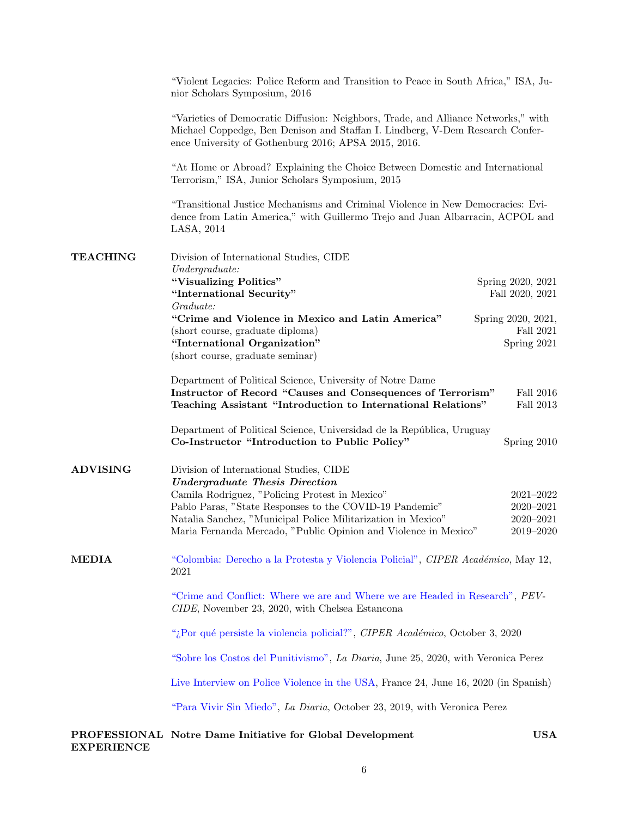|                                                                                                                                                                                                                                                                                                                                                                 | "Violent Legacies: Police Reform and Transition to Peace in South Africa," ISA, Ju-<br>nior Scholars Symposium, 2016            |                    |  |
|-----------------------------------------------------------------------------------------------------------------------------------------------------------------------------------------------------------------------------------------------------------------------------------------------------------------------------------------------------------------|---------------------------------------------------------------------------------------------------------------------------------|--------------------|--|
| "Varieties of Democratic Diffusion: Neighbors, Trade, and Alliance Networks," with<br>Michael Coppedge, Ben Denison and Staffan I. Lindberg, V-Dem Research Confer-<br>ence University of Gothenburg 2016; APSA 2015, 2016.<br>"At Home or Abroad? Explaining the Choice Between Domestic and International<br>Terrorism," ISA, Junior Scholars Symposium, 2015 |                                                                                                                                 |                    |  |
|                                                                                                                                                                                                                                                                                                                                                                 |                                                                                                                                 |                    |  |
| <b>TEACHING</b>                                                                                                                                                                                                                                                                                                                                                 | Division of International Studies, CIDE<br>Under graduate:                                                                      |                    |  |
|                                                                                                                                                                                                                                                                                                                                                                 | "Visualizing Politics"                                                                                                          | Spring 2020, 2021  |  |
|                                                                                                                                                                                                                                                                                                                                                                 | "International Security"                                                                                                        | Fall 2020, 2021    |  |
|                                                                                                                                                                                                                                                                                                                                                                 | Graduate:<br>"Crime and Violence in Mexico and Latin America"                                                                   | Spring 2020, 2021, |  |
|                                                                                                                                                                                                                                                                                                                                                                 | (short course, graduate diploma)<br>"International Organization"                                                                | Fall 2021          |  |
|                                                                                                                                                                                                                                                                                                                                                                 | (short course, graduate seminar)                                                                                                | Spring 2021        |  |
|                                                                                                                                                                                                                                                                                                                                                                 |                                                                                                                                 |                    |  |
|                                                                                                                                                                                                                                                                                                                                                                 | Department of Political Science, University of Notre Dame<br>Instructor of Record "Causes and Consequences of Terrorism"        | Fall 2016          |  |
|                                                                                                                                                                                                                                                                                                                                                                 | Teaching Assistant "Introduction to International Relations"                                                                    | Fall 2013          |  |
|                                                                                                                                                                                                                                                                                                                                                                 | Department of Political Science, Universidad de la República, Uruguay<br>Co-Instructor "Introduction to Public Policy"          | Spring 2010        |  |
| <b>ADVISING</b>                                                                                                                                                                                                                                                                                                                                                 | Division of International Studies, CIDE                                                                                         |                    |  |
|                                                                                                                                                                                                                                                                                                                                                                 | <b>Undergraduate Thesis Direction</b><br>Camila Rodriguez, "Policing Protest in Mexico"                                         | $2021 - 2022$      |  |
|                                                                                                                                                                                                                                                                                                                                                                 | Pablo Paras, "State Responses to the COVID-19 Pandemic"                                                                         | $2020 - 2021$      |  |
|                                                                                                                                                                                                                                                                                                                                                                 | Natalia Sanchez, "Municipal Police Militarization in Mexico"                                                                    | $2020 - 2021$      |  |
|                                                                                                                                                                                                                                                                                                                                                                 | Maria Fernanda Mercado, "Public Opinion and Violence in Mexico"                                                                 | 2019–2020          |  |
| <b>MEDIA</b>                                                                                                                                                                                                                                                                                                                                                    | "Colombia: Derecho a la Protesta y Violencia Policial", CIPER Académico, May 12,<br>2021                                        |                    |  |
|                                                                                                                                                                                                                                                                                                                                                                 | "Crime and Conflict: Where we are and Where we are Headed in Research", PEV-<br>CIDE, November 23, 2020, with Chelsea Estancona |                    |  |
|                                                                                                                                                                                                                                                                                                                                                                 | "¿Por qué persiste la violencia policial?", CIPER Académico, October 3, 2020                                                    |                    |  |
|                                                                                                                                                                                                                                                                                                                                                                 | "Sobre los Costos del Punitivismo", La Diaria, June 25, 2020, with Veronica Perez                                               |                    |  |
|                                                                                                                                                                                                                                                                                                                                                                 | Live Interview on Police Violence in the USA, France 24, June 16, 2020 (in Spanish)                                             |                    |  |
|                                                                                                                                                                                                                                                                                                                                                                 | "Para Vivir Sin Miedo", La Diaria, October 23, 2019, with Veronica Perez                                                        |                    |  |
|                                                                                                                                                                                                                                                                                                                                                                 |                                                                                                                                 |                    |  |

PROFESSIONAL Notre Dame Initiative for Global Development USA EXPERIENCE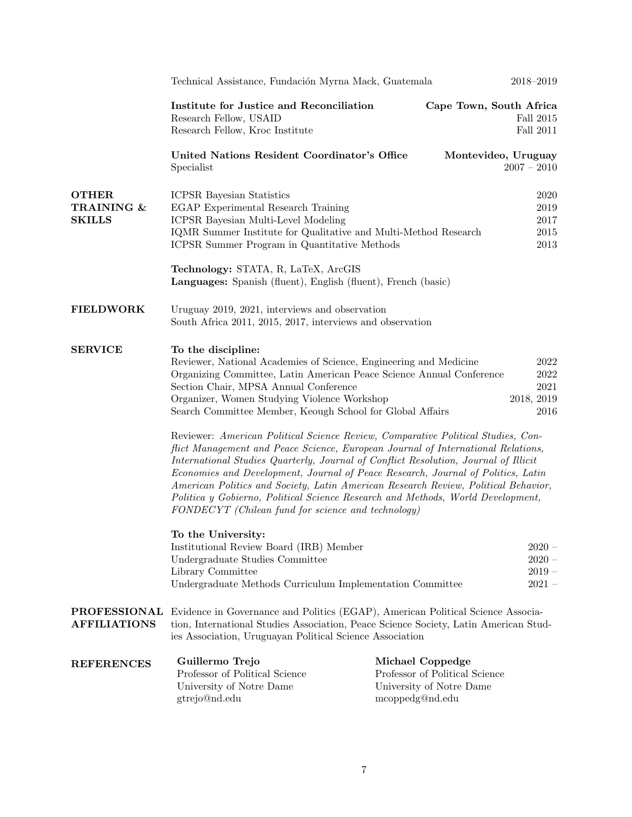|                                             | Technical Assistance, Fundación Myrna Mack, Guatemala                                                                                                                                                                                                                                                                                                                                                                                                                                                                                                                               |                                                                                                   | 2018-2019                                    |
|---------------------------------------------|-------------------------------------------------------------------------------------------------------------------------------------------------------------------------------------------------------------------------------------------------------------------------------------------------------------------------------------------------------------------------------------------------------------------------------------------------------------------------------------------------------------------------------------------------------------------------------------|---------------------------------------------------------------------------------------------------|----------------------------------------------|
|                                             | Institute for Justice and Reconciliation<br>Research Fellow, USAID<br>Research Fellow, Kroc Institute                                                                                                                                                                                                                                                                                                                                                                                                                                                                               | Cape Town, South Africa                                                                           | Fall 2015<br>Fall $2011$                     |
|                                             | United Nations Resident Coordinator's Office<br>Specialist                                                                                                                                                                                                                                                                                                                                                                                                                                                                                                                          | Montevideo, Uruguay                                                                               | $2007 - 2010$                                |
| <b>OTHER</b><br>TRAINING &<br><b>SKILLS</b> | <b>ICPSR</b> Bayesian Statistics<br>EGAP Experimental Research Training<br>ICPSR Bayesian Multi-Level Modeling<br>IQMR Summer Institute for Qualitative and Multi-Method Research<br>ICPSR Summer Program in Quantitative Methods<br>Technology: STATA, R, LaTeX, ArcGIS                                                                                                                                                                                                                                                                                                            |                                                                                                   | 2020<br>2019<br>2017<br>2015<br>$\,2013$     |
| <b>FIELDWORK</b>                            | Languages: Spanish (fluent), English (fluent), French (basic)<br>Uruguay 2019, 2021, interviews and observation<br>South Africa 2011, 2015, 2017, interviews and observation                                                                                                                                                                                                                                                                                                                                                                                                        |                                                                                                   |                                              |
| <b>SERVICE</b>                              | To the discipline:<br>Reviewer, National Academies of Science, Engineering and Medicine<br>Organizing Committee, Latin American Peace Science Annual Conference<br>Section Chair, MPSA Annual Conference<br>Organizer, Women Studying Violence Workshop<br>Search Committee Member, Keough School for Global Affairs<br>Reviewer: American Political Science Review, Comparative Political Studies, Con-<br>flict Management and Peace Science, European Journal of International Relations,<br>International Studies Quarterly, Journal of Conflict Resolution, Journal of Illicit |                                                                                                   | 2022<br>2022<br>2021<br>2018, 2019<br>2016   |
|                                             | Economies and Development, Journal of Peace Research, Journal of Politics, Latin<br>American Politics and Society, Latin American Research Review, Political Behavior,<br>Politica y Gobierno, Political Science Research and Methods, World Development,<br>FONDECYT (Chilean fund for science and technology)                                                                                                                                                                                                                                                                     |                                                                                                   |                                              |
|                                             | To the University:<br>Institutional Review Board (IRB) Member<br>Undergraduate Studies Committee<br>Library Committee<br>Undergraduate Methods Curriculum Implementation Committee                                                                                                                                                                                                                                                                                                                                                                                                  |                                                                                                   | $2020 -$<br>$2020 -$<br>$2019 -$<br>$2021 -$ |
| <b>AFFILIATIONS</b>                         | <b>PROFESSIONAL</b> Evidence in Governance and Politics (EGAP), American Political Science Associa-<br>tion, International Studies Association, Peace Science Society, Latin American Stud-<br>ies Association, Uruguayan Political Science Association                                                                                                                                                                                                                                                                                                                             |                                                                                                   |                                              |
| <b>REFERENCES</b>                           | Guillermo Trejo<br>Professor of Political Science<br>University of Notre Dame<br>gtrejo@nd.edu                                                                                                                                                                                                                                                                                                                                                                                                                                                                                      | Michael Coppedge<br>Professor of Political Science<br>University of Notre Dame<br>mcoppedg@nd.edu |                                              |